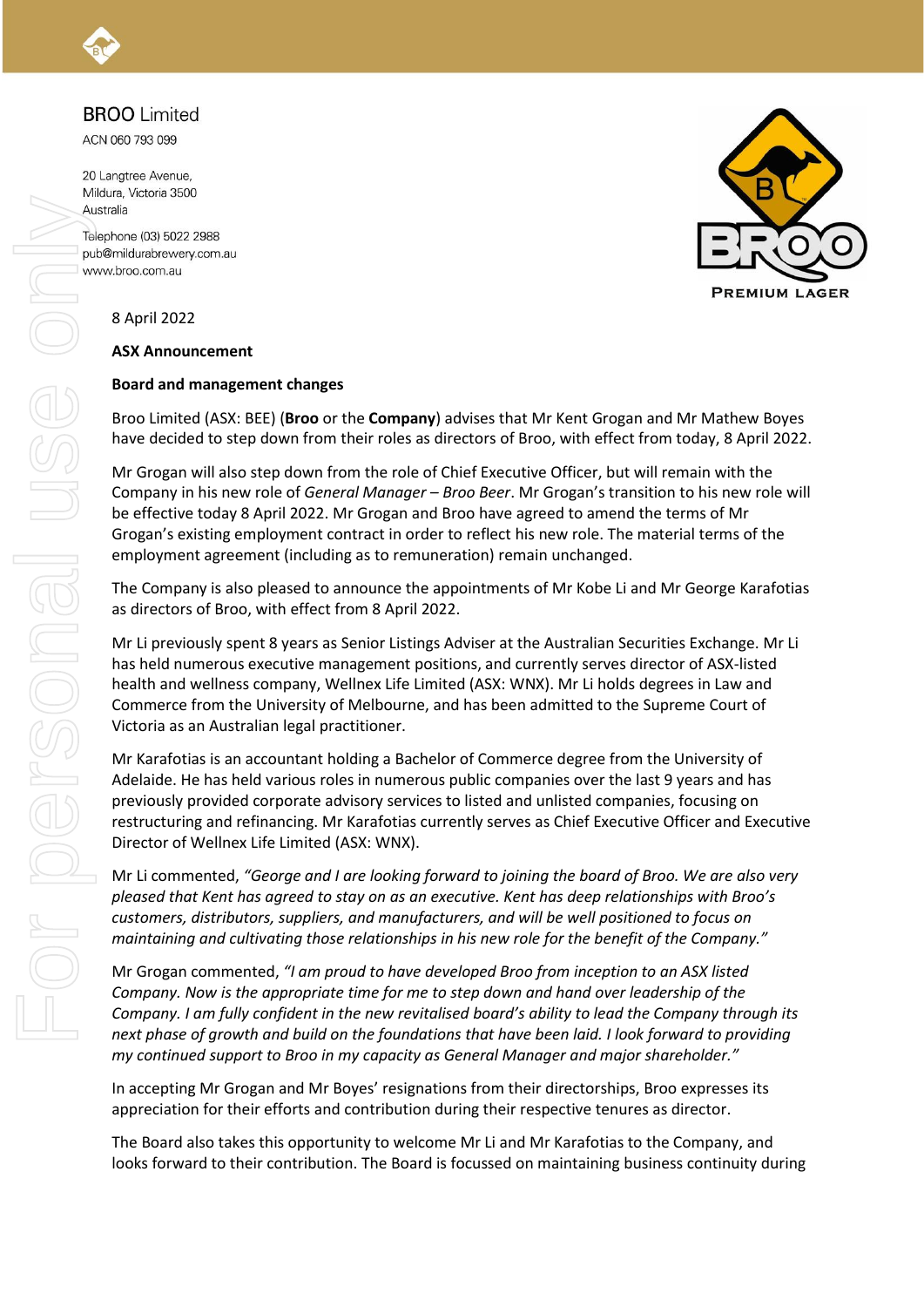## **BROO** Limited

ACN 060 793 099

20 Langtree Avenue, Mildura, Victoria 3500 Australia

Telephone (03) 5022 2988 pub@mildurabrewery.com.au www.broo.com.au



8 April 2022

#### **ASX Announcement**

#### **Board and management changes**

Broo Limited (ASX: BEE) (**Broo** or the **Company**) advises that Mr Kent Grogan and Mr Mathew Boyes have decided to step down from their roles as directors of Broo, with effect from today, 8 April 2022.

Mr Grogan will also step down from the role of Chief Executive Officer, but will remain with the Company in his new role of *General Manager – Broo Beer*. Mr Grogan's transition to his new role will be effective today 8 April 2022. Mr Grogan and Broo have agreed to amend the terms of Mr Grogan's existing employment contract in order to reflect his new role. The material terms of the employment agreement (including as to remuneration) remain unchanged.

The Company is also pleased to announce the appointments of Mr Kobe Li and Mr George Karafotias as directors of Broo, with effect from 8 April 2022.

Mr Li previously spent 8 years as Senior Listings Adviser at the Australian Securities Exchange. Mr Li has held numerous executive management positions, and currently serves director of ASX-listed health and wellness company, Wellnex Life Limited (ASX: WNX). Mr Li holds degrees in Law and Commerce from the University of Melbourne, and has been admitted to the Supreme Court of Victoria as an Australian legal practitioner.

Mr Karafotias is an accountant holding a Bachelor of Commerce degree from the University of Adelaide. He has held various roles in numerous public companies over the last 9 years and has previously provided corporate advisory services to listed and unlisted companies, focusing on restructuring and refinancing. Mr Karafotias currently serves as Chief Executive Officer and Executive Director of Wellnex Life Limited (ASX: WNX).

Mr Li commented, *"George and I are looking forward to joining the board of Broo. We are also very pleased that Kent has agreed to stay on as an executive. Kent has deep relationships with Broo's customers, distributors, suppliers, and manufacturers, and will be well positioned to focus on maintaining and cultivating those relationships in his new role for the benefit of the Company."*

Mr Grogan commented, *"I am proud to have developed Broo from inception to an ASX listed Company. Now is the appropriate time for me to step down and hand over leadership of the Company. I am fully confident in the new revitalised board's ability to lead the Company through its next phase of growth and build on the foundations that have been laid. I look forward to providing my continued support to Broo in my capacity as General Manager and major shareholder."* 

In accepting Mr Grogan and Mr Boyes' resignations from their directorships, Broo expresses its appreciation for their efforts and contribution during their respective tenures as director.

The Board also takes this opportunity to welcome Mr Li and Mr Karafotias to the Company, and looks forward to their contribution. The Board is focussed on maintaining business continuity during